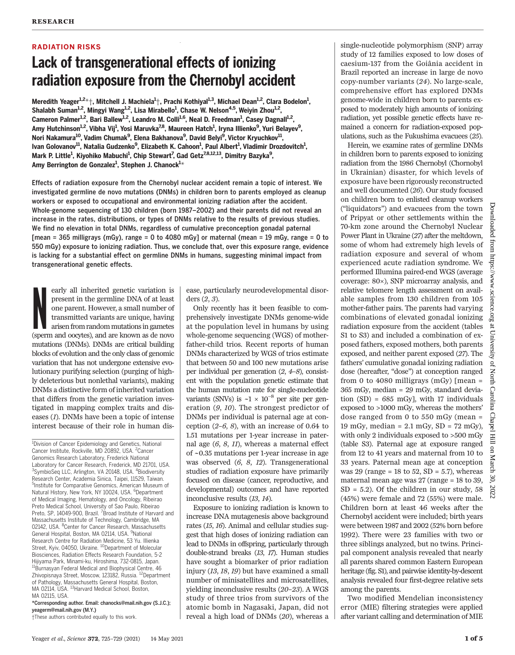### RADIATION RISKS

# Lack of transgenerational effects of ionizing radiation exposure from the Chernobyl accident

Meredith Yeager $^{1,2}$ \* $\dag$ , Mitchell J. Machiela $^{1}\dag$ , Prachi Kothiyal $^{1,3}$ , Michael Dean $^{1,2}$ , Clara Bodelon $^{1}$ , Shalabh Suman<sup>1,2</sup>, Mingyi Wang<sup>1,2</sup>, Lisa Mirabello<sup>1</sup>, Chase W. Nelson<sup>4,5</sup>, Weiyin Zhou<sup>1,2</sup>, Cameron Palmer<sup>1,2</sup>, Bari Ballew<sup>1,2</sup>, Leandro M. Colli<sup>1,6</sup>, Neal D. Freedman<sup>1</sup>, Casey Dagnall<sup>1,2</sup>, Amy Hutchinson<sup>1,2</sup>, Vibha Vij<sup>1</sup>, Yosi Maruvka<sup>7,8</sup>, Maureen Hatch<sup>1</sup>, Iryna Illienko<sup>9</sup>, Yuri Belayev<sup>9</sup>, Nori Nakamura<sup>10</sup>, Vadim Chumak<sup>9</sup>, Elena Bakhanova<sup>9</sup>, David Belyi<sup>9</sup>, Victor Kryuchkov<sup>11</sup>, lvan Golovanov<sup>11</sup>, Natalia Gudzenko<sup>9</sup>, Elizabeth K. Cahoon<sup>1</sup>, Paul Albert<sup>1</sup>, Vladimir Drozdovitch<sup>1</sup>, Mark P. Little<sup>1</sup>, Kiyohiko Mabuchi<sup>1</sup>, Chip Stewart<sup>7</sup>, Gad Getz<sup>7,8,12,13</sup>, Dimitry Bazyka<sup>9</sup>, Amy Berrington de Gonzalez<sup>1</sup>, Stephen J. Chanock<sup>1</sup>\*

Effects of radiation exposure from the Chernobyl nuclear accident remain a topic of interest. We investigated germline de novo mutations (DNMs) in children born to parents employed as cleanup workers or exposed to occupational and environmental ionizing radiation after the accident. Whole-genome sequencing of 130 children (born 1987–2002) and their parents did not reveal an increase in the rates, distributions, or types of DNMs relative to the results of previous studies. We find no elevation in total DNMs, regardless of cumulative preconception gonadal paternal [mean = 365 milligrays (mGy), range = 0 to 4080 mGy] or maternal (mean = 19 mGy, range = 0 to 550 mGy) exposure to ionizing radiation. Thus, we conclude that, over this exposure range, evidence is lacking for a substantial effect on germline DNMs in humans, suggesting minimal impact from transgenerational genetic effects.

early all inherited genetic variation is<br>present in the germline DNA of at least<br>one parent. However, a small number of<br>transmitted variants are unique, having<br>arisen from random mutations in gametes<br>(sperm and oocytes), a early all inherited genetic variation is present in the germline DNA of at least one parent. However, a small number of transmitted variants are unique, having arisen from random mutations in gametes mutations (DNMs). DNMs are critical building blocks of evolution and the only class of genomic variation that has not undergone extensive evolutionary purifying selection (purging of highly deleterious but nonlethal variants), making DNMs a distinctive form of inherited variation that differs from the genetic variation investigated in mapping complex traits and diseases (1). DNMs have been a topic of intense interest because of their role in human dis-

<sup>1</sup>Division of Cancer Epidemiology and Genetics, National Cancer Institute, Rockville, MD 20892, USA. <sup>2</sup>Cancer Genomics Research Laboratory, Frederick National Laboratory for Cancer Research, Frederick, MD 21701, USA. <sup>3</sup>SymbioSeq LLC, Arlington, VA 20148, USA. <sup>4</sup>Biodiversity Research Center, Academia Sinica, Taipei, 11529, Taiwan. 5 Institute for Comparative Genomics, American Museum of Natural History, New York, NY 10024, USA. <sup>6</sup>Department of Medical Imaging, Hematology, and Oncology, Ribeirao Preto Medical School, University of Sao Paulo, Ribeirao Preto, SP, 14049-900, Brazil. <sup>7</sup> Broad Institute of Harvard and Massachusetts Institute of Technology, Cambridge, MA 02142, USA. <sup>8</sup>Center for Cancer Research, Massachusetts General Hospital, Boston, MA 02114, USA. <sup>9</sup>National Research Centre for Radiation Medicine, 53 Yu. Illienka Street, Kyiv, 04050, Ukraine. <sup>10</sup>Department of Molecular Biosciences, Radiation Effects Research Foundation, 5-2 Hijiyama Park, Minami-ku, Hiroshima, 732-0815, Japan. <sup>11</sup>Burnasyan Federal Medical and Biophysical Centre, 46 Zhivopisnaya Street, Moscow, 123182, Russia. <sup>12</sup>Department of Pathology, Massachusetts General Hospital, Boston, MA 02114, USA. <sup>13</sup>Harvard Medical School, Boston, MA 02115, USA.

\*Corresponding author. Email: chanocks@mail.nih.gov (S.J.C.); yeagerm@mail.nih.gov (M.Y.)

†These authors contributed equally to this work.

ease, particularly neurodevelopmental disorders (2, 3).

Only recently has it been feasible to comprehensively investigate DNMs genome-wide at the population level in humans by using whole-genome sequencing (WGS) of motherfather-child trios. Recent reports of human DNMs characterized by WGS of trios estimate that between 50 and 100 new mutations arise per individual per generation (2, 4–8), consistent with the population genetic estimate that the human mutation rate for single-nucleotide variants (SNVs) is  $\sim$ 1 × 10<sup>-8</sup> per site per generation (9, 10). The strongest predictor of DNMs per individual is paternal age at conception  $(2-6, 8)$ , with an increase of 0.64 to 1.51 mutations per 1-year increase in paternal age  $(6, 8, 11)$ , whereas a maternal effect of ~0.35 mutations per 1-year increase in age was observed (6, 8, 12). Transgenerational studies of radiation exposure have primarily focused on disease (cancer, reproductive, and developmental) outcomes and have reported inconclusive results (13, 14).

Exposure to ionizing radiation is known to increase DNA mutagenesis above background rates (15, 16). Animal and cellular studies suggest that high doses of ionizing radiation can lead to DNMs in offspring, particularly through double-strand breaks (13, 17). Human studies have sought a biomarker of prior radiation injury (13, 18, 19) but have examined a small number of minisatellites and microsatellites, yielding inconclusive results (20–23). A WGS study of three trios from survivors of the atomic bomb in Nagasaki, Japan, did not reveal a high load of DNMs (20), whereas a single-nucleotide polymorphism (SNP) array study of 12 families exposed to low doses of caesium-137 from the Goiânia accident in Brazil reported an increase in large de novo copy-number variants (24). No large-scale, comprehensive effort has explored DNMs genome-wide in children born to parents exposed to moderately high amounts of ionizing radiation, yet possible genetic effects have remained a concern for radiation-exposed populations, such as the Fukushima evacuees (25).

Herein, we examine rates of germline DNMs in children born to parents exposed to ionizing radiation from the 1986 Chernobyl (Chornobyl in Ukrainian) disaster, for which levels of exposure have been rigorously reconstructed and well documented (26). Our study focused on children born to enlisted cleanup workers ("liquidators") and evacuees from the town of Pripyat or other settlements within the 70-km zone around the Chernobyl Nuclear Power Plant in Ukraine (27) after the meltdown, some of whom had extremely high levels of radiation exposure and several of whom experienced acute radiation syndrome. We performed Illumina paired-end WGS (average coverage: 80×), SNP microarray analysis, and relative telomere length assessment on available samples from 130 children from 105 mother-father pairs. The parents had varying combinations of elevated gonadal ionizing radiation exposure from the accident (tables S1 to S3) and included a combination of exposed fathers, exposed mothers, both parents exposed, and neither parent exposed (27). The fathers' cumulative gonadal ionizing radiation dose (hereafter, "dose") at conception ranged from 0 to 4080 milligrays (mGy) [mean = 365 mGy, median = 29 mGy, standard deviation  $(SD) = 685$  mGy], with 17 individuals exposed to >1000 mGy, whereas the mothers' dose ranged from 0 to 550 mGy (mean = 19 mGy, median = 2.1 mGy, SD = 72 mGy), with only 2 individuals exposed to >500 mGy (table S3). Paternal age at exposure ranged from 12 to 41 years and maternal from 10 to 33 years. Paternal mean age at conception was 29 (range =  $18$  to  $52$ ,  $SD = 5.7$ ), whereas maternal mean age was 27 (range = 18 to 39,  $SD = 5.2$ ). Of the children in our study, 58 (45%) were female and 72 (55%) were male. Children born at least 46 weeks after the Chernobyl accident were included; birth years were between 1987 and 2002 (52% born before 1992). There were 23 families with two or three siblings analyzed, but no twins. Principal component analysis revealed that nearly all parents shared common Eastern European heritage (fig. S1), and pairwise identity-by-descent analysis revealed four first-degree relative sets among the parents.

Two modified Mendelian inconsistency error (MIE) filtering strategies were applied after variant calling and determination of MIE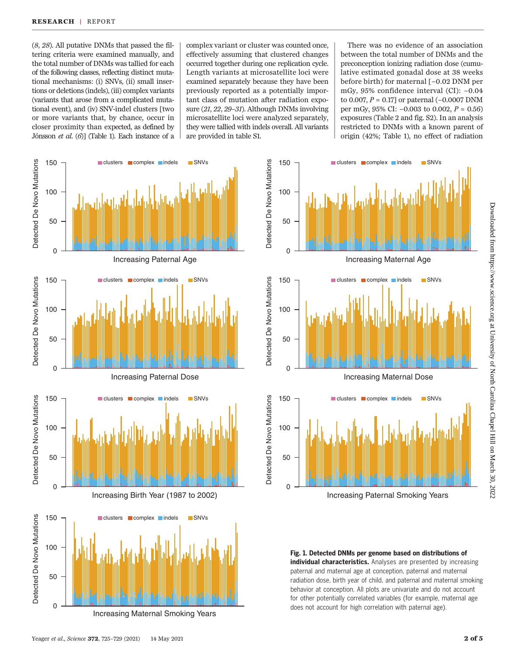(8, 28). All putative DNMs that passed the filtering criteria were examined manually, and the total number of DNMs was tallied for each of the following classes, reflecting distinct mutational mechanisms: (i) SNVs, (ii) small insertions or deletions (indels), (iii) complex variants (variants that arose from a complicated mutational event), and (iv) SNV-indel clusters [two or more variants that, by chance, occur in closer proximity than expected, as defined by Jónsson et al. (6)] (Table 1). Each instance of a

complex variant or cluster was counted once, effectively assuming that clustered changes occurred together during one replication cycle. Length variants at microsatellite loci were examined separately because they have been previously reported as a potentially important class of mutation after radiation exposure (21, 22, 29–31). Although DNMs involving microsatellite loci were analyzed separately, they were tallied with indels overall. All variants are provided in table S1.

There was no evidence of an association between the total number of DNMs and the preconception ionizing radiation dose (cumulative estimated gonadal dose at 38 weeks before birth) for maternal [−0.02 DNM per mGy, 95% confidence interval (CI): −0.04 to 0.007,  $P = 0.17$ ] or paternal (-0.0007 DNM per mGy, 95% CI:  $-0.003$  to 0.002,  $P = 0.56$ ) exposures (Table 2 and fig. S2). In an analysis restricted to DNMs with a known parent of origin (42%; Table 1), no effect of radiation



Increasing Maternal Smoking Years



150 <del>q</del> clusters complex indels SNVs

Fig. 1. Detected DNMs per genome based on distributions of individual characteristics. Analyses are presented by increasing paternal and maternal age at conception, paternal and maternal radiation dose, birth year of child, and paternal and maternal smoking behavior at conception. All plots are univariate and do not account for other potentially correlated variables (for example, maternal age does not account for high correlation with paternal age).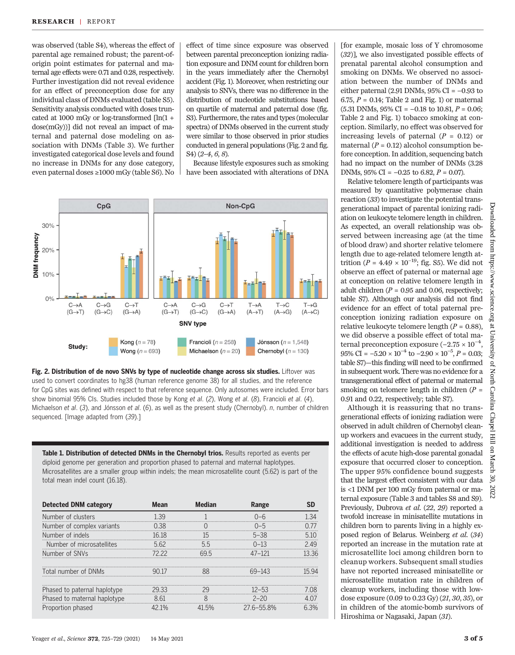was observed (table S4), whereas the effect of parental age remained robust; the parent-oforigin point estimates for paternal and maternal age effects were 0.71 and 0.28, respectively. Further investigation did not reveal evidence for an effect of preconception dose for any individual class of DNMs evaluated (table S5). Sensitivity analysis conducted with doses truncated at 1000 mGy or log-transformed  $\lceil \ln(1 +$ dose(mGy))] did not reveal an impact of maternal and paternal dose modeling on association with DNMs (Table 3). We further investigated categorical dose levels and found no increase in DNMs for any dose category, even paternal doses ≥1000 mGy (table S6). No

effect of time since exposure was observed between parental preconception ionizing radiation exposure and DNM count for children born in the years immediately after the Chernobyl accident (Fig. 1). Moreover, when restricting our analysis to SNVs, there was no difference in the distribution of nucleotide substitutions based on quartile of maternal and paternal dose (fig. S3). Furthermore, the rates and types (molecular spectra) of DNMs observed in the current study were similar to those observed in prior studies conducted in general populations (Fig. 2 and fig. S4) (2–4, 6, 8).

Because lifestyle exposures such as smoking have been associated with alterations of DNA





Table 1. Distribution of detected DNMs in the Chernobyl trios. Results reported as events per diploid genome per generation and proportion phased to paternal and maternal haplotypes. Microsatellites are a smaller group within indels; the mean microsatellite count (5.62) is part of the total mean indel count (16.18).

| <b>Detected DNM category</b> | Mean   | Median | Range         |           |
|------------------------------|--------|--------|---------------|-----------|
| Number of clusters           | 1.39   |        | Ი–Ნ           |           |
| Number of complex variants   | 0.38   |        | $() - 5$      |           |
| Number of indels             | 16 18  | 15     | $5 - 38$      | 51()<br>. |
| Number of microsatellites    | 562    | .55    | $0 - 13$      |           |
| Number of SNVs               | 72 22  | 69 h   |               |           |
|                              |        |        |               |           |
| Total number of DNMs         |        |        |               |           |
|                              |        |        |               |           |
| Phased to paternal haplotype | 29 K.K |        | 12-53         |           |
| Phased to maternal haplotype | 861    |        | $2 - 20$      |           |
| Proportion phased            | 12 1%  | 5%     | $276 - 558$ % | 6.3%      |

[for example, mosaic loss of Y chromosome (32)], we also investigated possible effects of prenatal parental alcohol consumption and smoking on DNMs. We observed no association between the number of DNMs and either paternal (2.91 DNMs, 95% CI = −0.93 to 6.75,  $P = 0.14$ ; Table 2 and Fig. 1) or maternal  $(5.31$  DNMs,  $95\%$  CI =  $-0.18$  to 10.81,  $P = 0.06$ ; Table 2 and Fig. 1) tobacco smoking at conception. Similarly, no effect was observed for increasing levels of paternal  $(P = 0.12)$  or maternal ( $P = 0.12$ ) alcohol consumption before conception. In addition, sequencing batch had no impact on the number of DNMs (3.28 DNMs, 95% CI =  $-0.25$  to 6.82, P = 0.07).

Relative telomere length of participants was measured by quantitative polymerase chain reaction (33) to investigate the potential transgenerational impact of parental ionizing radiation on leukocyte telomere length in children. As expected, an overall relationship was observed between increasing age (at the time of blood draw) and shorter relative telomere length due to age-related telomere length attrition ( $P = 4.49 \times 10^{-19}$ ; fig. S5). We did not observe an effect of paternal or maternal age at conception on relative telomere length in adult children ( $P = 0.95$  and 0.06, respectively; table S7). Although our analysis did not find evidence for an effect of total paternal preconception ionizing radiation exposure on relative leukocyte telomere length ( $P = 0.88$ ), we did observe a possible effect of total maternal preconception exposure (−2.75 × 10−<sup>4</sup> , 95% CI =  $-5.20 \times 10^{-4}$  to  $-2.90 \times 10^{-5}$ ,  $P = 0.03$ ; table S7)—this finding will need to be confirmed in subsequent work. There was no evidence for a transgenerational effect of paternal or maternal smoking on telomere length in children  $(P =$ 0.91 and 0.22, respectively; table S7).

Although it is reassuring that no transgenerational effects of ionizing radiation were observed in adult children of Chernobyl cleanup workers and evacuees in the current study, additional investigation is needed to address the effects of acute high-dose parental gonadal exposure that occurred closer to conception. The upper 95% confidence bound suggests that the largest effect consistent with our data is <1 DNM per 100 mGy from paternal or maternal exposure (Table 3 and tables S8 and S9). Previously, Dubrova et al. (22, 29) reported a twofold increase in minisatellite mutations in children born to parents living in a highly exposed region of Belarus. Weinberg et al. (34) reported an increase in the mutation rate at microsatellite loci among children born to cleanup workers. Subsequent small studies have not reported increased minisatellite or microsatellite mutation rate in children of cleanup workers, including those with lowdose exposure (0.09 to 0.23 Gy) (21, 30, 35), or in children of the atomic-bomb survivors of Hiroshima or Nagasaki, Japan (31).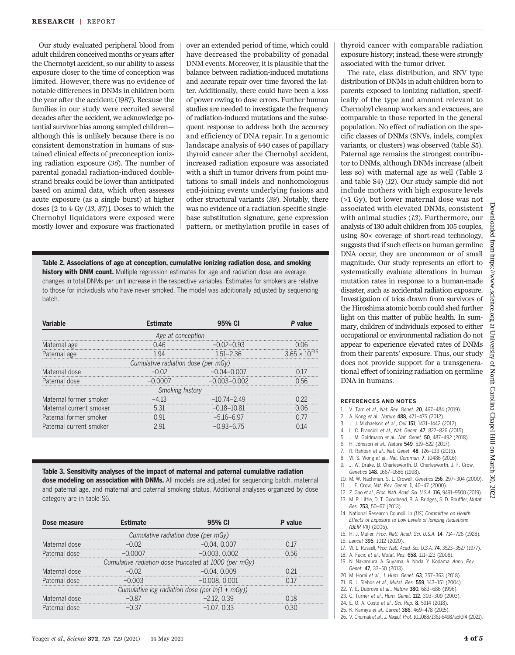Our study evaluated peripheral blood from adult children conceived months or years after the Chernobyl accident, so our ability to assess exposure closer to the time of conception was limited. However, there was no evidence of notable differences in DNMs in children born the year after the accident (1987). Because the families in our study were recruited several decades after the accident, we acknowledge potential survivor bias among sampled children although this is unlikely because there is no consistent demonstration in humans of sustained clinical effects of preconception ionizing radiation exposure (36). The number of parental gonadal radiation-induced doublestrand breaks could be lower than anticipated based on animal data, which often assesses acute exposure (as a single burst) at higher doses [2 to 4 Gy (13, 37)]. Doses to which the Chernobyl liquidators were exposed were mostly lower and exposure was fractionated

over an extended period of time, which could have decreased the probability of gonadal DNM events. Moreover, it is plausible that the balance between radiation-induced mutations and accurate repair over time favored the latter. Additionally, there could have been a loss of power owing to dose errors. Further human studies are needed to investigate the frequency of radiation-induced mutations and the subsequent response to address both the accuracy and efficiency of DNA repair. In a genomic landscape analysis of 440 cases of papillary thyroid cancer after the Chernobyl accident, increased radiation exposure was associated with a shift in tumor drivers from point mutations to small indels and nonhomologous end-joining events underlying fusions and other structural variants (38). Notably, there was no evidence of a radiation-specific singlebase substitution signature, gene expression pattern, or methylation profile in cases of

Table 2. Associations of age at conception, cumulative ionizing radiation dose, and smoking history with DNM count. Multiple regression estimates for age and radiation dose are average changes in total DNMs per unit increase in the respective variables. Estimates for smokers are relative to those for individuals who have never smoked. The model was additionally adjusted by sequencing batch.

| Variable                            | <b>Fstimate</b> | 95% CI           | P value                |  |  |  |
|-------------------------------------|-----------------|------------------|------------------------|--|--|--|
| Age at conception                   |                 |                  |                        |  |  |  |
| Maternal age                        | 0.46            | $-0.02 - 0.93$   | (106)                  |  |  |  |
| Paternal age                        | 194             | $1.51 - 2.36$    | $3.65 \times 10^{-15}$ |  |  |  |
| Cumulative radiation dose (per mGy) |                 |                  |                        |  |  |  |
| Maternal dose                       | $-0.02$         | $-0.04 - 0.007$  |                        |  |  |  |
| Paternal dose                       | $-0.0007$       | $-0.003 - 0.002$ | በ 56                   |  |  |  |
| Smoking history                     |                 |                  |                        |  |  |  |
| Maternal former smoker              | -4 13           | $-1074-249$      |                        |  |  |  |
| Maternal current smoker             | 5.31            | $-0.18 - 10.81$  | N N6                   |  |  |  |
| Paternal former smoker              | O 91            | $-516-697$       |                        |  |  |  |
| Paternal current smoker             | 291             | $-0.93-6.75$     |                        |  |  |  |

Table 3. Sensitivity analyses of the impact of maternal and paternal cumulative radiation dose modeling on association with DNMs. All models are adjusted for sequencing batch, maternal and paternal age, and maternal and paternal smoking status. Additional analyses organized by dose category are in table S6.

| Dose measure                                          | Estimate | 95% CI           | P value |  |  |  |
|-------------------------------------------------------|----------|------------------|---------|--|--|--|
| Cumulative radiation dose (per mGy)                   |          |                  |         |  |  |  |
| Maternal dose                                         |          | $-0.04.$ $0.007$ |         |  |  |  |
| Paternal dose                                         |          | $-0.003, 0.002$  | 0.56    |  |  |  |
| Cumulative radiation dose truncated at 1000 (per mGy) |          |                  |         |  |  |  |
| Maternal dose                                         |          | $-0.04, 0.009$   |         |  |  |  |
| Paternal dose                                         | $-0.003$ | $-0.008, 0.001$  |         |  |  |  |
| Cumulative log radiation dose (per $ln(1 + mGy)$ )    |          |                  |         |  |  |  |
| Maternal dose                                         |          | $-2.12, 0.39$    |         |  |  |  |
| Paternal dose                                         |          | $-1.07.033$      |         |  |  |  |

thyroid cancer with comparable radiation exposure history; instead, these were strongly associated with the tumor driver.

The rate, class distribution, and SNV type distribution of DNMs in adult children born to parents exposed to ionizing radiation, specifically of the type and amount relevant to Chernobyl cleanup workers and evacuees, are comparable to those reported in the general population. No effect of radiation on the specific classes of DNMs (SNVs, indels, complex variants, or clusters) was observed (table S5). Paternal age remains the strongest contributor to DNMs, although DNMs increase (albeit less so) with maternal age as well (Table 2 and table S4) (12). Our study sample did not include mothers with high exposure levels (>1 Gy), but lower maternal dose was not associated with elevated DNMs, consistent with animal studies (13). Furthermore, our analysis of 130 adult children from 105 couples, using 80× coverage of short-read technology, suggests that if such effects on human germline DNA occur, they are uncommon or of small magnitude. Our study represents an effort to systematically evaluate alterations in human mutation rates in response to a human-made disaster, such as accidental radiation exposure. Investigation of trios drawn from survivors of the Hiroshima atomic bomb could shed further light on this matter of public health. In summary, children of individuals exposed to either occupational or environmental radiation do not appear to experience elevated rates of DNMs from their parents' exposure. Thus, our study does not provide support for a transgenerational effect of ionizing radiation on germline DNA in humans.

#### REFERENCES AND NOTES

- 1. V. Tam et al., Nat. Rev. Genet. 20, 467–484 (2019).
- 2. A. Kong et al., Nature **488**, 471-475 (2012).<br>3. J. J. Michaelson et al., Cell **151**, 1431-1442 (
- 3. J. J. Michaelson et al., Cell **151**, 1431-1442 (2012).<br>4. L. C. Francioli et al., Nat. Genet. **47**, 822-826 (20
- 4. L. C. Francioli et al., Nat. Genet. **47**, 822–826 (2015).<br>5. L. M. Goldmann et al. Nat. Genet. **50.** 487–492 (2018)
- J. M. Goldmann et al., Nat. Genet. 50, 487-492 (2018).
- 6. H. Jónsson et al., Nature 549, 519–522 (2017).
- 7. R. Rahbari et al., Nat. Genet. 48, 126–133 (2016).
- 8. W. S. Wong et al., Nat. Commun. 7, 10486 (2016).
- 9. J. W. Drake, B. Charlesworth, D. Charlesworth, J. F. Crow, Genetics 148, 1667–1686 (1998).
- 10. M. W. Nachman, S. L. Crowell, Genetics 156, 297–304 (2000).
- 11. J. F. Crow, Nat. Rev. Genet. 1, 40–47 (2000).
- 12. Z. Gao et al., Proc. Natl. Acad. Sci. U.S.A. 116, 9491–9500 (2019).
- 13. M. P. Little, D. T. Goodhead, B. A. Bridges, S. D. Bouffler, Mutat. Res. 753, 50–67 (2013).
- 14. National Research Council, in (US) Committee on Health Effects of Exposure to Low Levels of Ionizing Radiations (BEIR VII) (2006).
- 15. H. J. Muller, Proc. Natl. Acad. Sci. U.S.A. 14, 714–726 (1928).
- 16. Lancet 395, 1012 (2020).
- 17. W. L. Russell, Proc. Natl. Acad. Sci. U.S.A. 74, 3523–3527 (1977).
- 18. A. Fucic et al., Mutat. Res. 658, 111–123 (2008).
- 19. N. Nakamura, A. Suyama, A. Noda, Y. Kodama, Annu. Rev. Genet. 47, 33–50 (2013).
- 20. M. Horai et al., J. Hum. Genet. 63, 357–363 (2018).
- 21. R. J. Slebos et al., Mutat. Res. 559, 143–151 (2004).
- 22. Y. E. Dubrova et al., Nature 380, 683-686 (1996).
- 23. C. Turner et al., Hum. Genet. 112, 303–309 (2003). 24. E. O. A. Costa et al., Sci. Rep. 8, 5914 (2018).
- 25. K. Kamiya et al., Lancet 386, 469–478 (2015).
- 
- 26. V. Chumak et al., J. Radiol. Prot. 10.1088/1361-6498/abf0f4 (2021).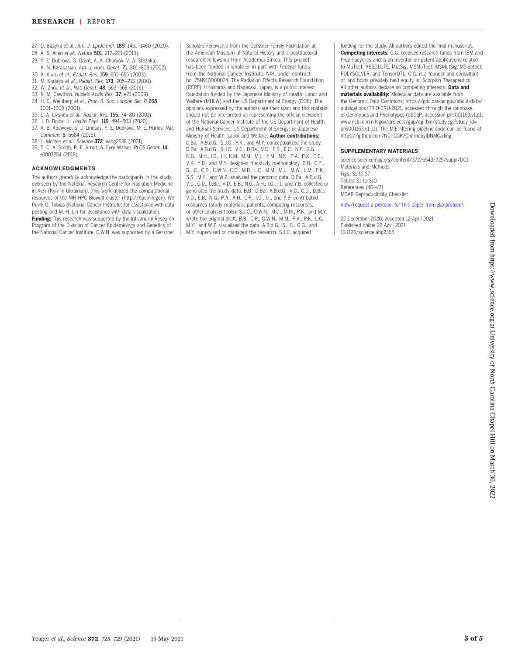- 27. D. Bazyka et al., Am. J. Epidemiol. 189, 1451–1460 (2020).
- 28. A. S. Allen et al., Nature 501, 217–221 (2013).
- 29. Y. E. Dubrova, G. Grant, A. A. Chumak, V. A. Stezhka,
- A. N. Karakasian, Am. J. Hum. Genet. 71, 801–809 (2002).
- 30. A. Kiuru et al., Radiat. Res. 159, 651–655 (2003).
- 31. M. Kodaira et al., Radiat. Res. 173, 205–213 (2010).
- 32. W. Zhou et al., Nat. Genet. 48, 563–568 (2016). 33. R. M. Cawthon, Nucleic Acids Res. 37, e21 (2009).
- 34. H. S. Weinberg et al., Proc. R. Soc. London Ser. B 268,
- 1001–1005 (2001).
- 35. L. A. Livshits et al., Radiat. Res. 155, 74–80 (2001).
- 36. J. D. Boice Jr., Health Phys. 119, 494–503 (2020).
- 37. A. B. Adewoye, S. J. Lindsay, Y. E. Dubrova, M. E. Hurles, Nat. Commun. 6, 6684 (2015).<br>38. L. Morton et al., Science **372**, eabg2538 (2021).
- 
- 39. T. C. A. Smith, P. F. Arndt, A. Eyre-Walker, PLOS Genet. 14, e1007254 (2018).

#### ACKNOWLEDGMENTS

The authors gratefully acknowledge the participants in the study overseen by the National Research Centre for Radiation Medicine in Kiev (Kyiv in Ukrainian). This work utilized the computational resources of the NIH HPC Biowulf cluster (<http://hpc.nih.gov>). We thank G. Tobias (National Cancer Institute) for assistance with data posting and M.-H. Lin for assistance with data visualization. Funding: This research was supported by the Intramural Research Program of the Division of Cancer Epidemiology and Genetics of the National Cancer Institute. C.W.N. was supported by a Gerstner

Scholars Fellowship from the Gerstner Family Foundation at the American Museum of Natural History and a postdoctoral research fellowship from Academia Sinica. This project has been funded in whole or in part with Federal funds from the National Cancer Institute, NIH, under contract no. 75N910D00024. The Radiation Effects Research Foundation (RERF), Hiroshima and Nagasaki, Japan, is a public interest foundation funded by the Japanese Ministry of Health, Labor and Welfare (MHLW) and the US Department of Energy (DOE). The opinions expressed by the authors are their own, and this material should not be interpreted as representing the official viewpoint of the National Cancer Institute of the US Department of Health and Human Services; US Department of Energy; or Japanese Ministry of Health, Labor and Welfare. Author contributions: D.Ba., A.B.d.G., S.J.C., P.K., and M.Y. conceptualized the study. D.Ba., A.B.d.G., S.J.C., V.C., D.Be., V.D., E.B., E.C., N.F., G.G., N.G., M.H., I.G., I.I., K.M., M.M., M.L., Y.M., N.N., P.A., P.K., C.S., V.K., Y.B., and M.Y. designed the study methodology. B.B., C.P., S.J.C., C.B., C.W.N., C.D., M.D., L.C., M.M., M.L., M.W., L.M., P.K., S.S., M.Y., and W.Z. analyzed the genomic data. D.Ba., A.B.d.G., V.C., C.D., D.Be., V.D., E.B., N.G., A.H., I.G., I.I., and Y.B. collected or generated the study data. B.B., D.Ba., A.B.d.G., V.C., C.D., D.Be., V.D., E.B., N.G., P.A., A.H., C.P., I.G., I.I., and Y.B. contributed resources (study materials, patients, computing resources, or other analysis tools). S.J.C., C.W.N., M.D., M.M., P.K., and M.Y. wrote the original draft. B.B., C.P., C.W.N., M.M., P.A., P.K., L.C., M.Y., and W.Z. visualized the data. A.B.d.G., S.J.C., G.G., and M.Y. supervised or managed the research. S.J.C. acquired

funding for the study. All authors edited the final manuscript. Competing interests: G.G. receives research funds from IBM and Pharmacyclics and is an inventor on patent applications related to MuTect, ABSOLUTE, MutSig, MSMuTect, MSMutSig, MSIdetect, POLYSOLVER, and TensorQTL. G.G. is a founder and consultant of, and holds privately held equity in, Scorpion Therapeutics. All other authors declare no competing interests. Data and materials availability: Molecular data are available from the Genomic Data Commons: [https://gdc.cancer.gov/about-data/](https://gdc.cancer.gov/about-data/publications/TRIO-CRU-2021) [publications/TRIO-CRU-2021,](https://gdc.cancer.gov/about-data/publications/TRIO-CRU-2021) accessed through the database of Genotypes and Phenotypes (dbGaP, accession phs001163.v1.p1; [www.ncbi.nlm.nih.gov/projects/gap/cgi-bin/study.cgi?study\\_id=](http://www.ncbi.nlm.nih.gov/projects/gap/cgi-bin/study.cgi?study_id=phs001163.v1.p1) [phs001163.v1.p1\)](http://www.ncbi.nlm.nih.gov/projects/gap/cgi-bin/study.cgi?study_id=phs001163.v1.p1). The MIE filtering pipeline code can be found at [https://github.com/NCI-CGR/ChernobylDNMCalling.](https://github.com/NCI-CGR/ChernobylDNMCalling)

#### SUPPLEMENTARY MATERIALS

[science.sciencemag.org/content/372/6543/725/suppl/DC1](https://science.sciencemag.org/content/372/6543/725/suppl/DC1) Materials and Methods Figs. S1 to S7 Tables S1 to S10 References (40–47) MDAR Reproducibility Checklist

#### [View/request a protocol for this paper from](https://en.bio-protocol.org/cjrap.aspx?eid=10.1126/science.abg2365) Bio-protocol.

22 December 2020; accepted 12 April 2021 Published online 22 April 2021 10.1126/science.abg2365